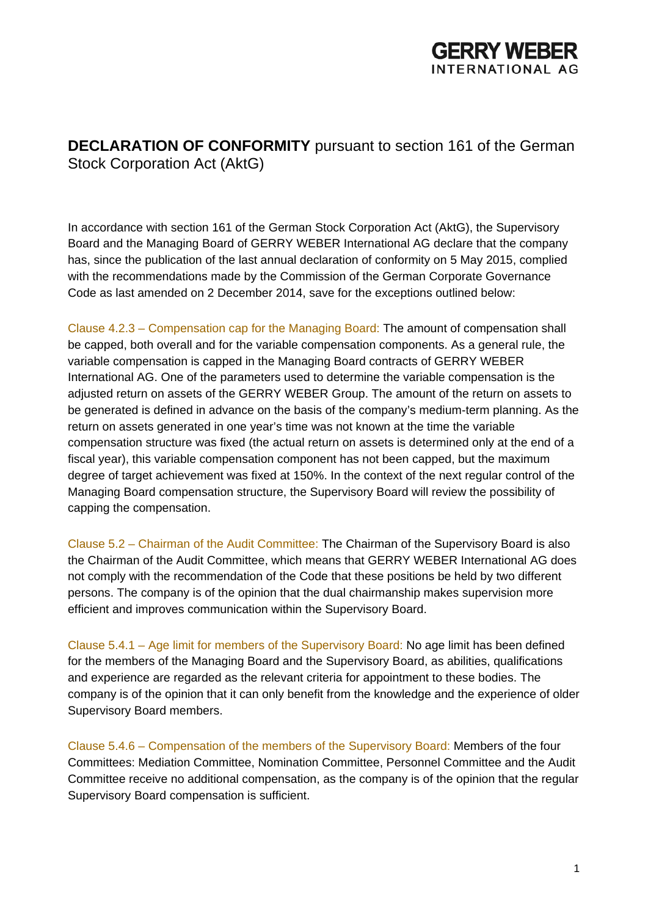

**DECLARATION OF CONFORMITY** pursuant to section 161 of the German Stock Corporation Act (AktG)

In accordance with section 161 of the German Stock Corporation Act (AktG), the Supervisory Board and the Managing Board of GERRY WEBER International AG declare that the company has, since the publication of the last annual declaration of conformity on 5 May 2015, complied with the recommendations made by the Commission of the German Corporate Governance Code as last amended on 2 December 2014, save for the exceptions outlined below:

Clause 4.2.3 – Compensation cap for the Managing Board: The amount of compensation shall be capped, both overall and for the variable compensation components. As a general rule, the variable compensation is capped in the Managing Board contracts of GERRY WEBER International AG. One of the parameters used to determine the variable compensation is the adjusted return on assets of the GERRY WEBER Group. The amount of the return on assets to be generated is defined in advance on the basis of the company's medium-term planning. As the return on assets generated in one year's time was not known at the time the variable compensation structure was fixed (the actual return on assets is determined only at the end of a fiscal year), this variable compensation component has not been capped, but the maximum degree of target achievement was fixed at 150%. In the context of the next regular control of the Managing Board compensation structure, the Supervisory Board will review the possibility of capping the compensation.

Clause 5.2 – Chairman of the Audit Committee: The Chairman of the Supervisory Board is also the Chairman of the Audit Committee, which means that GERRY WEBER International AG does not comply with the recommendation of the Code that these positions be held by two different persons. The company is of the opinion that the dual chairmanship makes supervision more efficient and improves communication within the Supervisory Board.

Clause 5.4.1 – Age limit for members of the Supervisory Board: No age limit has been defined for the members of the Managing Board and the Supervisory Board, as abilities, qualifications and experience are regarded as the relevant criteria for appointment to these bodies. The company is of the opinion that it can only benefit from the knowledge and the experience of older Supervisory Board members.

Clause 5.4.6 – Compensation of the members of the Supervisory Board: Members of the four Committees: Mediation Committee, Nomination Committee, Personnel Committee and the Audit Committee receive no additional compensation, as the company is of the opinion that the regular Supervisory Board compensation is sufficient.